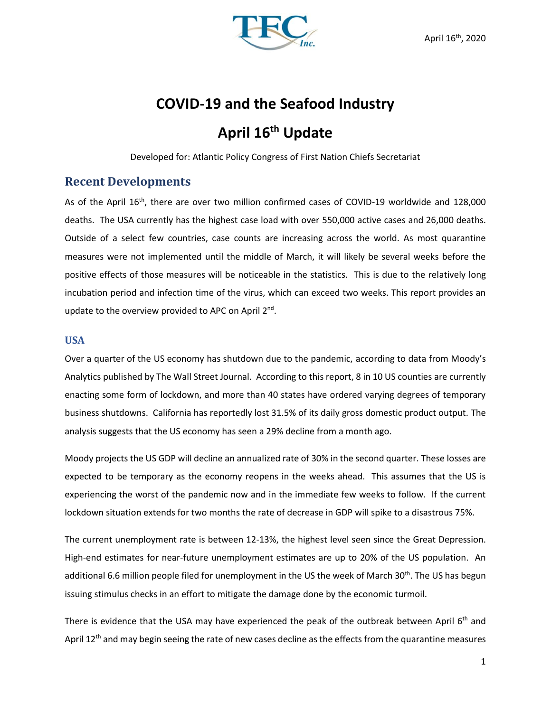

# **COVID-19 and the Seafood Industry April 16 th Update**

Developed for: Atlantic Policy Congress of First Nation Chiefs Secretariat

## **Recent Developments**

As of the April 16<sup>th</sup>, there are over two million confirmed cases of COVID-19 worldwide and 128,000 deaths. The USA currently has the highest case load with over 550,000 active cases and 26,000 deaths. Outside of a select few countries, case counts are increasing across the world. As most quarantine measures were not implemented until the middle of March, it will likely be several weeks before the positive effects of those measures will be noticeable in the statistics. This is due to the relatively long incubation period and infection time of the virus, which can exceed two weeks. This report provides an update to the overview provided to APC on April 2<sup>nd</sup>.

#### **USA**

Over a quarter of the US economy has shutdown due to the pandemic, according to data from Moody's Analytics published by The Wall Street Journal. According to this report, 8 in 10 US counties are currently enacting some form of lockdown, and more than 40 states have ordered varying degrees of temporary business shutdowns. California has reportedly lost 31.5% of its daily gross domestic product output. The analysis suggests that the US economy has seen a 29% decline from a month ago.

Moody projects the US GDP will decline an annualized rate of 30% in the second quarter. These losses are expected to be temporary as the economy reopens in the weeks ahead. This assumes that the US is experiencing the worst of the pandemic now and in the immediate few weeks to follow. If the current lockdown situation extends for two months the rate of decrease in GDP will spike to a disastrous 75%.

The current unemployment rate is between 12-13%, the highest level seen since the Great Depression. High-end estimates for near-future unemployment estimates are up to 20% of the US population. An additional 6.6 million people filed for unemployment in the US the week of March 30<sup>th</sup>. The US has begun issuing stimulus checks in an effort to mitigate the damage done by the economic turmoil.

There is evidence that the USA may have experienced the peak of the outbreak between April 6<sup>th</sup> and April  $12<sup>th</sup>$  and may begin seeing the rate of new cases decline as the effects from the quarantine measures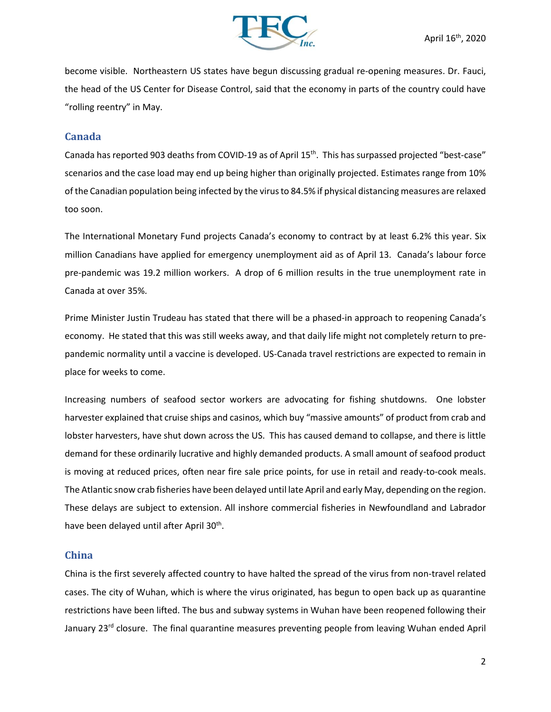

become visible. Northeastern US states have begun discussing gradual re-opening measures. Dr. Fauci, the head of the US Center for Disease Control, said that the economy in parts of the country could have "rolling reentry" in May.

#### **Canada**

Canada has reported 903 deaths from COVID-19 as of April 15<sup>th</sup>. This has surpassed projected "best-case" scenarios and the case load may end up being higher than originally projected. Estimates range from 10% of the Canadian population being infected by the virus to 84.5% if physical distancing measures are relaxed too soon.

The International Monetary Fund projects Canada's economy to contract by at least 6.2% this year. Six million Canadians have applied for emergency unemployment aid as of April 13. Canada's labour force pre-pandemic was 19.2 million workers. A drop of 6 million results in the true unemployment rate in Canada at over 35%.

Prime Minister Justin Trudeau has stated that there will be a phased-in approach to reopening Canada's economy. He stated that this was still weeks away, and that daily life might not completely return to prepandemic normality until a vaccine is developed. US-Canada travel restrictions are expected to remain in place for weeks to come.

Increasing numbers of seafood sector workers are advocating for fishing shutdowns. One lobster harvester explained that cruise ships and casinos, which buy "massive amounts" of product from crab and lobster harvesters, have shut down across the US. This has caused demand to collapse, and there is little demand for these ordinarily lucrative and highly demanded products. A small amount of seafood product is moving at reduced prices, often near fire sale price points, for use in retail and ready-to-cook meals. The Atlantic snow crab fisheries have been delayed until late April and early May, depending on the region. These delays are subject to extension. All inshore commercial fisheries in Newfoundland and Labrador have been delayed until after April 30<sup>th</sup>.

#### **China**

China is the first severely affected country to have halted the spread of the virus from non-travel related cases. The city of Wuhan, which is where the virus originated, has begun to open back up as quarantine restrictions have been lifted. The bus and subway systems in Wuhan have been reopened following their January 23<sup>rd</sup> closure. The final quarantine measures preventing people from leaving Wuhan ended April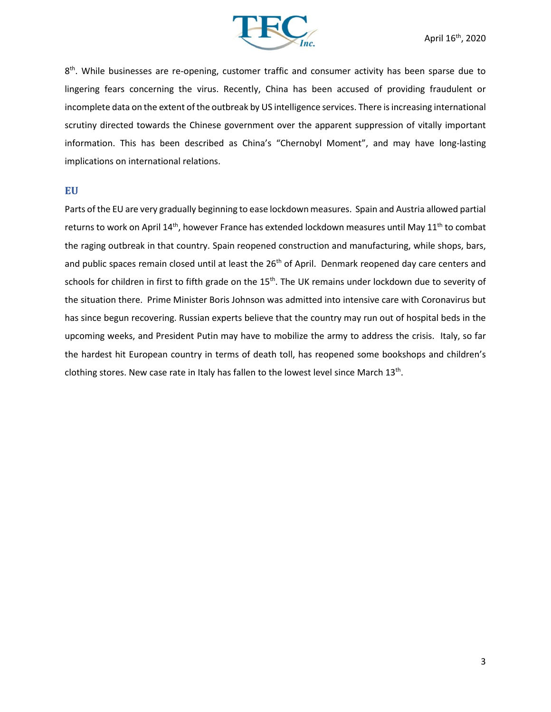

8<sup>th</sup>. While businesses are re-opening, customer traffic and consumer activity has been sparse due to lingering fears concerning the virus. Recently, China has been accused of providing fraudulent or incomplete data on the extent of the outbreak by US intelligence services. There is increasing international scrutiny directed towards the Chinese government over the apparent suppression of vitally important information. This has been described as China's "Chernobyl Moment", and may have long-lasting implications on international relations.

#### **EU**

Parts of the EU are very gradually beginning to ease lockdown measures. Spain and Austria allowed partial returns to work on April 14<sup>th</sup>, however France has extended lockdown measures until May 11<sup>th</sup> to combat the raging outbreak in that country. Spain reopened construction and manufacturing, while shops, bars, and public spaces remain closed until at least the 26<sup>th</sup> of April. Denmark reopened day care centers and schools for children in first to fifth grade on the 15<sup>th</sup>. The UK remains under lockdown due to severity of the situation there. Prime Minister Boris Johnson was admitted into intensive care with Coronavirus but has since begun recovering. Russian experts believe that the country may run out of hospital beds in the upcoming weeks, and President Putin may have to mobilize the army to address the crisis. Italy, so far the hardest hit European country in terms of death toll, has reopened some bookshops and children's clothing stores. New case rate in Italy has fallen to the lowest level since March  $13<sup>th</sup>$ .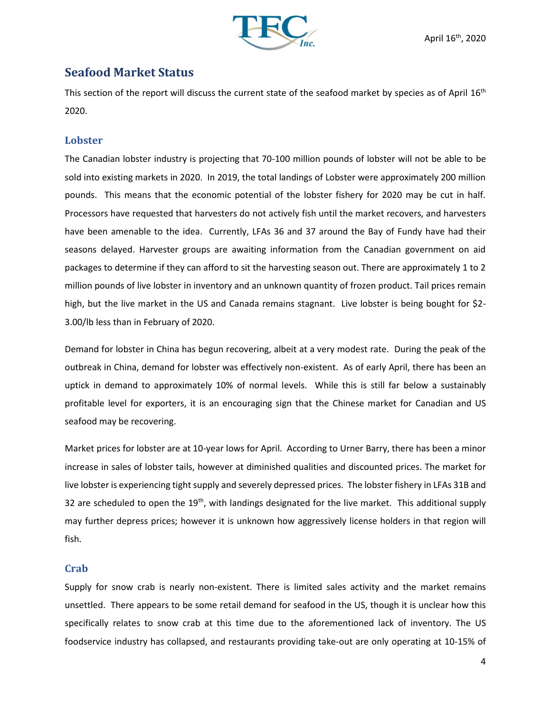

## **Seafood Market Status**

This section of the report will discuss the current state of the seafood market by species as of April 16<sup>th</sup> 2020.

### **Lobster**

The Canadian lobster industry is projecting that 70-100 million pounds of lobster will not be able to be sold into existing markets in 2020. In 2019, the total landings of Lobster were approximately 200 million pounds. This means that the economic potential of the lobster fishery for 2020 may be cut in half. Processors have requested that harvesters do not actively fish until the market recovers, and harvesters have been amenable to the idea. Currently, LFAs 36 and 37 around the Bay of Fundy have had their seasons delayed. Harvester groups are awaiting information from the Canadian government on aid packages to determine if they can afford to sit the harvesting season out. There are approximately 1 to 2 million pounds of live lobster in inventory and an unknown quantity of frozen product. Tail prices remain high, but the live market in the US and Canada remains stagnant. Live lobster is being bought for \$2-3.00/lb less than in February of 2020.

Demand for lobster in China has begun recovering, albeit at a very modest rate. During the peak of the outbreak in China, demand for lobster was effectively non-existent. As of early April, there has been an uptick in demand to approximately 10% of normal levels. While this is still far below a sustainably profitable level for exporters, it is an encouraging sign that the Chinese market for Canadian and US seafood may be recovering.

Market prices for lobster are at 10-year lows for April. According to Urner Barry, there has been a minor increase in sales of lobster tails, however at diminished qualities and discounted prices. The market for live lobster is experiencing tight supply and severely depressed prices. The lobster fishery in LFAs 31B and 32 are scheduled to open the  $19<sup>th</sup>$ , with landings designated for the live market. This additional supply may further depress prices; however it is unknown how aggressively license holders in that region will fish.

### **Crab**

Supply for snow crab is nearly non-existent. There is limited sales activity and the market remains unsettled. There appears to be some retail demand for seafood in the US, though it is unclear how this specifically relates to snow crab at this time due to the aforementioned lack of inventory. The US foodservice industry has collapsed, and restaurants providing take-out are only operating at 10-15% of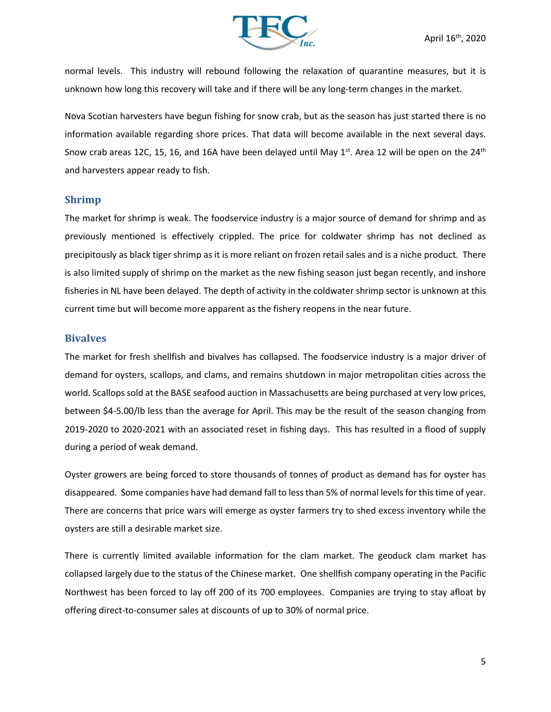

normal levels. This industry will rebound following the relaxation of quarantine measures, but it is unknown how long this recovery will take and if there will be any long-term changes in the market.

Nova Scotian harvesters have begun fishing for snow crab, but as the season has just started there is no information available regarding shore prices. That data will become available in the next several days. Snow crab areas 12C, 15, 16, and 16A have been delayed until May 1<sup>st</sup>. Area 12 will be open on the 24<sup>th</sup> and harvesters appear ready to fish.

#### **Shrimp**

The market for shrimp is weak. The foodservice industry is a major source of demand for shrimp and as previously mentioned is effectively crippled. The price for coldwater shrimp has not declined as precipitously as black tiger shrimp as it is more reliant on frozen retail sales and is a niche product. There is also limited supply of shrimp on the market as the new fishing season just began recently, and inshore fisheries in NL have been delayed. The depth of activity in the coldwater shrimp sector is unknown at this current time but will become more apparent as the fishery reopens in the near future.

#### **Bivalves**

The market for fresh shellfish and bivalves has collapsed. The foodservice industry is a major driver of demand for oysters, scallops, and clams, and remains shutdown in major metropolitan cities across the world. Scallops sold at the BASE seafood auction in Massachusetts are being purchased at very low prices, between \$4-5.00/lb less than the average for April. This may be the result of the season changing from 2019-2020 to 2020-2021 with an associated reset in fishing days. This has resulted in a flood of supply during a period of weak demand.

Oyster growers are being forced to store thousands of tonnes of product as demand has for oyster has disappeared. Some companies have had demand fall to less than 5% of normal levels for this time of year. There are concerns that price wars will emerge as oyster farmers try to shed excess inventory while the oysters are still a desirable market size.

There is currently limited available information for the clam market. The geoduck clam market has collapsed largely due to the status of the Chinese market. One shellfish company operating in the Pacific Northwest has been forced to lay off 200 of its 700 employees. Companies are trying to stay afloat by offering direct-to-consumer sales at discounts of up to 30% of normal price.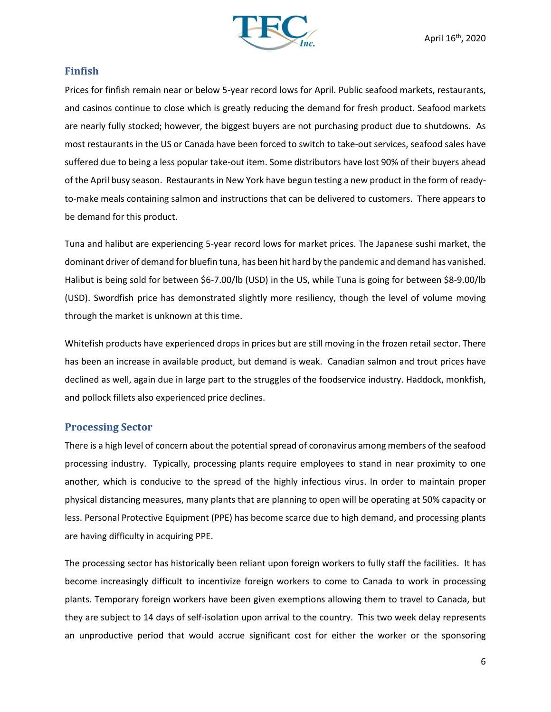

#### **Finfish**

Prices for finfish remain near or below 5-year record lows for April. Public seafood markets, restaurants, and casinos continue to close which is greatly reducing the demand for fresh product. Seafood markets are nearly fully stocked; however, the biggest buyers are not purchasing product due to shutdowns. As most restaurants in the US or Canada have been forced to switch to take-out services, seafood sales have suffered due to being a less popular take-out item. Some distributors have lost 90% of their buyers ahead of the April busy season. Restaurants in New York have begun testing a new product in the form of readyto-make meals containing salmon and instructions that can be delivered to customers. There appears to be demand for this product.

Tuna and halibut are experiencing 5-year record lows for market prices. The Japanese sushi market, the dominant driver of demand for bluefin tuna, has been hit hard by the pandemic and demand has vanished. Halibut is being sold for between \$6-7.00/lb (USD) in the US, while Tuna is going for between \$8-9.00/lb (USD). Swordfish price has demonstrated slightly more resiliency, though the level of volume moving through the market is unknown at this time.

Whitefish products have experienced drops in prices but are still moving in the frozen retail sector. There has been an increase in available product, but demand is weak. Canadian salmon and trout prices have declined as well, again due in large part to the struggles of the foodservice industry. Haddock, monkfish, and pollock fillets also experienced price declines.

### **Processing Sector**

There is a high level of concern about the potential spread of coronavirus among members of the seafood processing industry. Typically, processing plants require employees to stand in near proximity to one another, which is conducive to the spread of the highly infectious virus. In order to maintain proper physical distancing measures, many plants that are planning to open will be operating at 50% capacity or less. Personal Protective Equipment (PPE) has become scarce due to high demand, and processing plants are having difficulty in acquiring PPE.

The processing sector has historically been reliant upon foreign workers to fully staff the facilities. It has become increasingly difficult to incentivize foreign workers to come to Canada to work in processing plants. Temporary foreign workers have been given exemptions allowing them to travel to Canada, but they are subject to 14 days of self-isolation upon arrival to the country. This two week delay represents an unproductive period that would accrue significant cost for either the worker or the sponsoring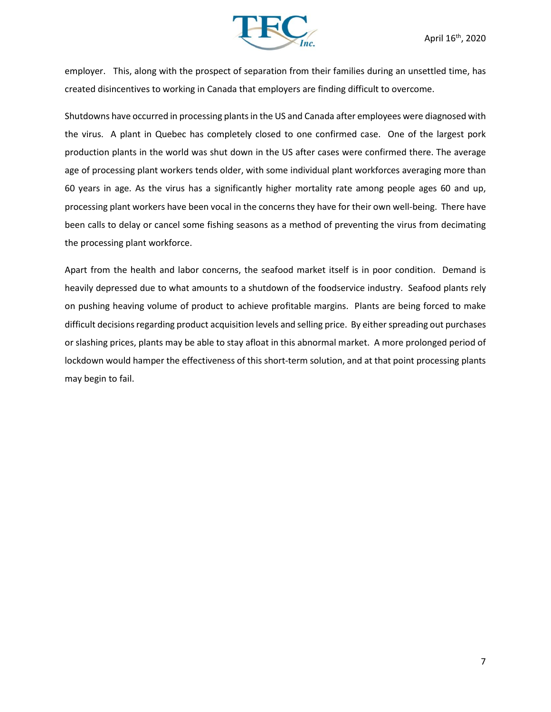

employer. This, along with the prospect of separation from their families during an unsettled time, has created disincentives to working in Canada that employers are finding difficult to overcome.

Shutdowns have occurred in processing plants in the US and Canada after employees were diagnosed with the virus. A plant in Quebec has completely closed to one confirmed case. One of the largest pork production plants in the world was shut down in the US after cases were confirmed there. The average age of processing plant workers tends older, with some individual plant workforces averaging more than 60 years in age. As the virus has a significantly higher mortality rate among people ages 60 and up, processing plant workers have been vocal in the concerns they have for their own well-being. There have been calls to delay or cancel some fishing seasons as a method of preventing the virus from decimating the processing plant workforce.

Apart from the health and labor concerns, the seafood market itself is in poor condition. Demand is heavily depressed due to what amounts to a shutdown of the foodservice industry. Seafood plants rely on pushing heaving volume of product to achieve profitable margins. Plants are being forced to make difficult decisions regarding product acquisition levels and selling price. By either spreading out purchases or slashing prices, plants may be able to stay afloat in this abnormal market. A more prolonged period of lockdown would hamper the effectiveness of this short-term solution, and at that point processing plants may begin to fail.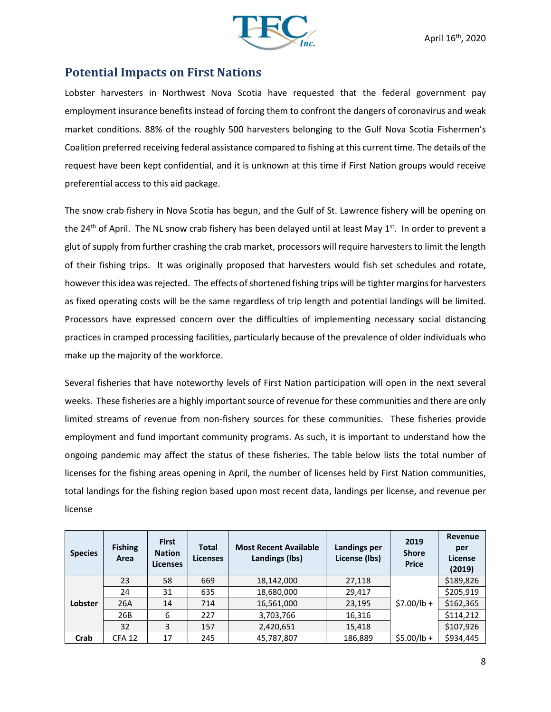

## **Potential Impacts on First Nations**

Lobster harvesters in Northwest Nova Scotia have requested that the federal government pay employment insurance benefits instead of forcing them to confront the dangers of coronavirus and weak market conditions. 88% of the roughly 500 harvesters belonging to the Gulf Nova Scotia Fishermen's Coalition preferred receiving federal assistance compared to fishing at this current time. The details of the request have been kept confidential, and it is unknown at this time if First Nation groups would receive preferential access to this aid package.

The snow crab fishery in Nova Scotia has begun, and the Gulf of St. Lawrence fishery will be opening on the 24<sup>th</sup> of April. The NL snow crab fishery has been delayed until at least May 1<sup>st</sup>. In order to prevent a glut of supply from further crashing the crab market, processors will require harvesters to limit the length of their fishing trips. It was originally proposed that harvesters would fish set schedules and rotate, however this idea was rejected. The effects of shortened fishing trips will be tighter margins for harvesters as fixed operating costs will be the same regardless of trip length and potential landings will be limited. Processors have expressed concern over the difficulties of implementing necessary social distancing practices in cramped processing facilities, particularly because of the prevalence of older individuals who make up the majority of the workforce.

Several fisheries that have noteworthy levels of First Nation participation will open in the next several weeks. These fisheries are a highly important source of revenue for these communities and there are only limited streams of revenue from non-fishery sources for these communities. These fisheries provide employment and fund important community programs. As such, it is important to understand how the ongoing pandemic may affect the status of these fisheries. The table below lists the total number of licenses for the fishing areas opening in April, the number of licenses held by First Nation communities, total landings for the fishing region based upon most recent data, landings per license, and revenue per license

| <b>Species</b> | <b>Fishing</b><br>Area | <b>First</b><br><b>Nation</b><br><b>Licenses</b> | <b>Total</b><br><b>Licenses</b> | <b>Most Recent Available</b><br><b>Landings (lbs)</b> | Landings per<br>License (lbs) | 2019<br><b>Shore</b><br><b>Price</b> | <b>Revenue</b><br>per<br>License<br>(2019) |
|----------------|------------------------|--------------------------------------------------|---------------------------------|-------------------------------------------------------|-------------------------------|--------------------------------------|--------------------------------------------|
| Lobster        | 23                     | 58                                               | 669                             | 18,142,000                                            | 27,118                        | $$7.00/lb +$                         | \$189,826                                  |
|                | 24                     | 31                                               | 635                             | 18,680,000                                            | 29,417                        |                                      | \$205,919                                  |
|                | 26A                    | 14                                               | 714                             | 16,561,000                                            | 23,195                        |                                      | \$162,365                                  |
|                | 26B                    | 6                                                | 227                             | 3,703,766                                             | 16,316                        |                                      | \$114,212                                  |
|                | 32                     | 3                                                | 157                             | 2,420,651                                             | 15,418                        |                                      | \$107,926                                  |
| Crab           | <b>CFA 12</b>          | 17                                               | 245                             | 45,787,807                                            | 186,889                       | $$5.00/lb +$                         | \$934,445                                  |